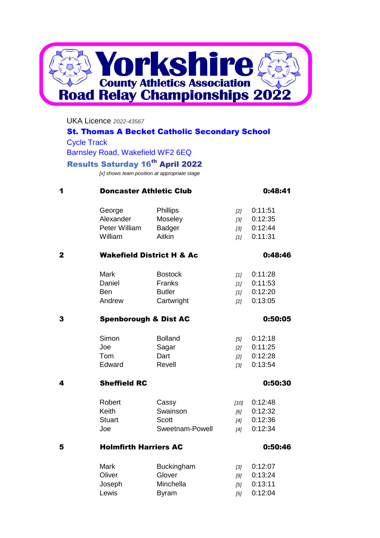

#### UKA Licence *2022-43567*

## St. Thomas A Becket Catholic Secondary School

Cycle Track

Barnsley Road, Wakefield WF2 6EQ

## **Results Saturday 16th April 2022**

*[x] shows team position at appropriate stage*

| 1            | <b>Doncaster Athletic Club</b>   |                                      |        | 0:48:41 |  |
|--------------|----------------------------------|--------------------------------------|--------|---------|--|
|              | George                           | Phillips                             | $[2]$  | 0:11:51 |  |
|              | Alexander                        | Moseley                              | $[3]$  | 0:12:35 |  |
|              | Peter William                    | <b>Badger</b>                        | $[3]$  | 0:12:44 |  |
|              | William                          | Aitkin                               | [1]    | 0:11:31 |  |
| $\mathbf{2}$ |                                  | <b>Wakefield District H &amp; Ac</b> |        | 0:48:46 |  |
|              | <b>Mark</b>                      | <b>Bostock</b>                       | $[1]$  | 0:11:28 |  |
|              | Daniel                           | Franks                               | [1]    | 0:11:53 |  |
|              | <b>Ben</b>                       | <b>Butler</b>                        | [1]    | 0:12:20 |  |
|              | Andrew                           | Cartwright                           | [2]    | 0:13:05 |  |
| 3            | <b>Spenborough &amp; Dist AC</b> |                                      |        | 0:50:05 |  |
|              | Simon                            | <b>Bolland</b>                       | $[5]$  | 0:12:18 |  |
|              | Joe                              | Sagar                                | [2]    | 0:11:25 |  |
|              | Tom                              | Dart                                 | [2]    | 0:12:28 |  |
|              | Edward                           | Revell                               | $[3]$  | 0:13:54 |  |
| 4            | <b>Sheffield RC</b>              |                                      |        | 0:50:30 |  |
|              | Robert                           | Cassy                                | $[10]$ | 0:12:48 |  |
|              | Keith                            | Swainson                             | [6]    | 0:12:32 |  |
|              | <b>Stuart</b>                    | <b>Scott</b>                         | [4]    | 0:12:36 |  |
|              | Joe                              | Sweetnam-Powell                      | $[4]$  | 0:12:34 |  |
| 5            | <b>Holmfirth Harriers AC</b>     |                                      |        | 0:50:46 |  |
|              | <b>Mark</b>                      | <b>Buckingham</b>                    | $[3]$  | 0:12:07 |  |
|              | Oliver                           | Glover                               | [9]    | 0:13:24 |  |
|              | Joseph                           | Minchella                            | [5]    | 0:13:11 |  |
|              | Lewis                            | <b>Byram</b>                         | $[5]$  | 0:12:04 |  |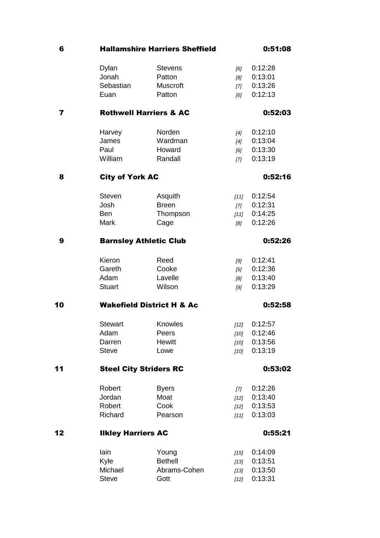| 6                       | <b>Hallamshire Harriers Sheffield</b>    |                | 0:51:08 |         |  |  |
|-------------------------|------------------------------------------|----------------|---------|---------|--|--|
|                         | Dylan                                    | <b>Stevens</b> | [6]     | 0:12:28 |  |  |
|                         | Jonah                                    | Patton         | [8]     | 0:13:01 |  |  |
|                         | Sebastian                                | Muscroft       | [7]     | 0:13:26 |  |  |
|                         | Euan                                     | Patton         | [6]     | 0:12:13 |  |  |
| $\overline{\mathbf{r}}$ | <b>Rothwell Harriers &amp; AC</b>        |                |         | 0:52:03 |  |  |
|                         | Harvey                                   | Norden         | $[4]$   | 0:12:10 |  |  |
|                         | James                                    | Wardman        | [4]     | 0:13:04 |  |  |
|                         | Paul                                     | Howard         | [6]     | 0:13:30 |  |  |
|                         | William                                  | Randall        | [7]     | 0:13:19 |  |  |
| 8                       | <b>City of York AC</b>                   |                | 0:52:16 |         |  |  |
|                         | <b>Steven</b>                            | Asquith        | $[11]$  | 0:12:54 |  |  |
|                         | Josh                                     | <b>Breen</b>   | $[7]$   | 0:12:31 |  |  |
|                         | <b>Ben</b>                               | Thompson       | [11]    | 0:14:25 |  |  |
|                         | <b>Mark</b>                              | Cage           | [8]     | 0:12:26 |  |  |
| 9                       | <b>Barnsley Athletic Club</b>            |                |         | 0:52:26 |  |  |
|                         | Kieron                                   | Reed           | [9]     | 0:12:41 |  |  |
|                         | Gareth                                   | Cooke          | $[5]$   | 0:12:36 |  |  |
|                         | Adam                                     | Lavelle        | [8]     | 0:13:40 |  |  |
|                         | <b>Stuart</b>                            | Wilson         | [9]     | 0:13:29 |  |  |
| 10                      | <b>Wakefield District H &amp; Ac</b>     |                |         | 0:52:58 |  |  |
|                         | <b>Stewart</b>                           | Knowles        | $[12]$  | 0:12:57 |  |  |
|                         | Adam                                     | Peers          | $[10]$  | 0:12:46 |  |  |
|                         | Darren                                   | Hewitt         | $[10]$  | 0:13:56 |  |  |
|                         | <b>Steve</b>                             | Lowe           | $[10]$  | 0:13:19 |  |  |
| 11                      | <b>Steel City Striders RC</b><br>0:53:02 |                |         |         |  |  |
|                         | Robert                                   | <b>Byers</b>   | $[7]$   | 0:12:26 |  |  |
|                         | Jordan                                   | Moat           | $[12]$  | 0:13:40 |  |  |
|                         | Robert                                   | Cook           | $[12]$  | 0:13:53 |  |  |
|                         | Richard                                  | Pearson        | $[11]$  | 0:13:03 |  |  |
| 12                      | <b>Ilkley Harriers AC</b>                |                |         | 0:55:21 |  |  |
|                         | lain                                     | Young          | $[15]$  | 0:14:09 |  |  |
|                         | Kyle                                     | <b>Bethell</b> | $[13]$  | 0:13:51 |  |  |
|                         | Michael                                  | Abrams-Cohen   | $[13]$  | 0:13:50 |  |  |

Steve **Gott** *[12]* 0:13:31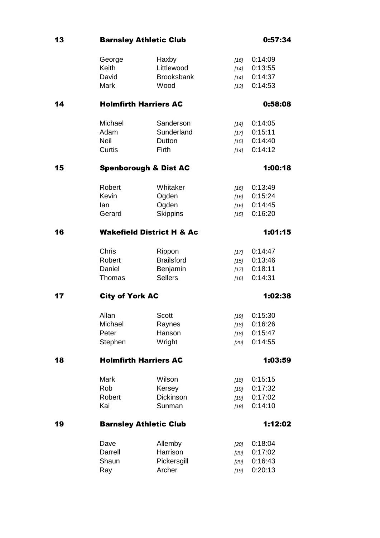13 **Barnsley Athletic Club 13** 0:57:34

|    | George                               | Haxby                        | [16]             | 0:14:09            |  |  |
|----|--------------------------------------|------------------------------|------------------|--------------------|--|--|
|    | <b>Keith</b>                         | Littlewood                   | $[14]$           | 0:13:55            |  |  |
|    | David                                | <b>Brooksbank</b>            | $[14]$           | 0:14:37            |  |  |
|    | <b>Mark</b>                          | Wood                         | [13]             | 0:14:53            |  |  |
| 14 | <b>Holmfirth Harriers AC</b>         |                              | 0:58:08          |                    |  |  |
|    | Michael                              | Sanderson                    | $[14]$           | 0:14:05            |  |  |
|    | Adam                                 | Sunderland                   | [17]             | 0:15:11            |  |  |
|    | <b>Neil</b>                          | Dutton                       | [15]             | 0:14:40            |  |  |
|    | Curtis                               | Firth                        | $[14]$           | 0:14:12            |  |  |
| 15 | <b>Spenborough &amp; Dist AC</b>     |                              |                  | 1:00:18            |  |  |
|    | Robert                               | Whitaker                     | $[16]$           | 0:13:49            |  |  |
|    | Kevin                                | Ogden                        | [16]             | 0:15:24            |  |  |
|    | lan                                  | Ogden                        | [16]             | 0:14:45            |  |  |
|    | Gerard                               | <b>Skippins</b>              | $[15]$           | 0:16:20            |  |  |
| 16 | <b>Wakefield District H &amp; Ac</b> |                              | 1:01:15          |                    |  |  |
|    | <b>Chris</b>                         | Rippon                       | $[17]$           | 0:14:47            |  |  |
|    | Robert                               | <b>Brailsford</b>            | [15]             | 0:13:46            |  |  |
|    | Daniel                               | Benjamin                     | [17]             | 0:18:11            |  |  |
|    | Thomas                               | <b>Sellers</b>               | $[16]$           | 0:14:31            |  |  |
| 17 | <b>City of York AC</b><br>1:02:38    |                              |                  |                    |  |  |
|    | Allan                                |                              |                  |                    |  |  |
|    | Michael                              | <b>Scott</b>                 | $[19]$           | 0:15:30<br>0:16:26 |  |  |
|    | Peter                                | Raynes<br>Hanson             | $[18]$<br>$[18]$ | 0:15:47            |  |  |
|    | Stephen                              | Wright                       | [20]             | 0:14:55            |  |  |
| 18 |                                      | <b>Holmfirth Harriers AC</b> |                  | 1:03:59            |  |  |
|    |                                      |                              |                  |                    |  |  |
|    | <b>Mark</b>                          | Wilson                       | $[18]$           | 0:15:15            |  |  |
|    | Rob                                  | Kersey                       | [19]             | 0:17:32            |  |  |
|    | Robert                               | Dickinson                    | [19]             | 0:17:02            |  |  |
|    | Kai                                  | Sunman                       | $[18]$           | 0:14:10            |  |  |
| 19 | <b>Barnsley Athletic Club</b>        | 1:12:02                      |                  |                    |  |  |
|    | Dave                                 | Allemby                      | $[20]$           | 0:18:04            |  |  |
|    | Darrell                              | Harrison                     | $[20]$           | 0:17:02            |  |  |
|    | Shaun                                | Pickersgill                  | [20]             | 0:16:43            |  |  |
|    | Ray                                  | Archer                       | $[19]$           | 0:20:13            |  |  |